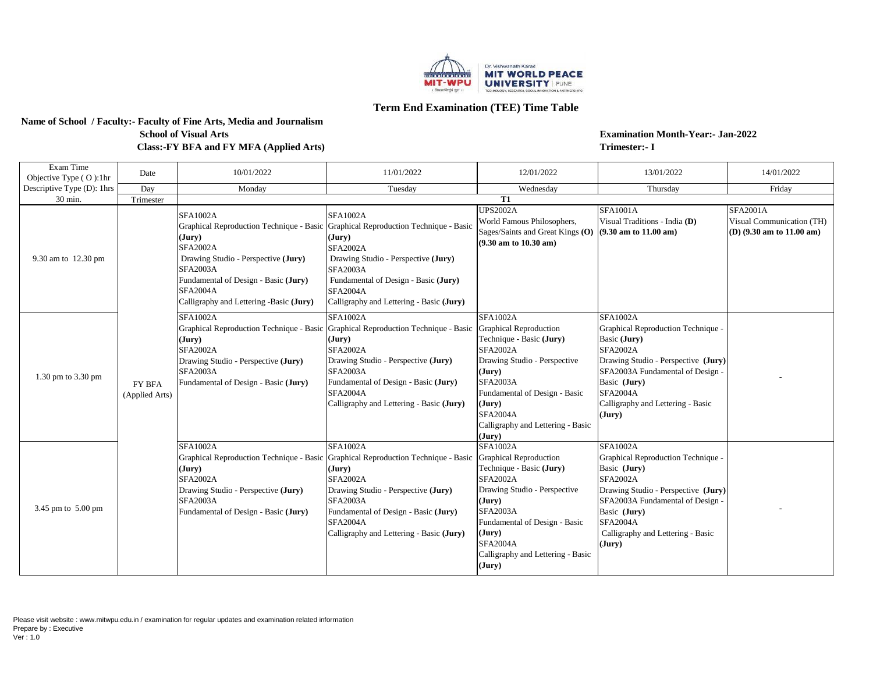

## **Term End Examination (TEE) Time Table**

### **Name of School / Faculty:- Faculty of Fine Arts, Media and Journalism Class:-FY BFA and FY MFA (Applied Arts) School of Visual Arts**

**Examination Month-Year:- Jan-2022 Trimester:- I**

| Exam Time<br>Objective Type (O):1hr | Date                     | 10/01/2022                                                                                                                                                                                                   | 11/01/2022                                                                                                                                                                                                                                                                                  | 12/01/2022                                                                                                                                                                                                                                                                | 13/01/2022                                                                                                                                                                                                                                            | 14/01/2022                                                                                   |
|-------------------------------------|--------------------------|--------------------------------------------------------------------------------------------------------------------------------------------------------------------------------------------------------------|---------------------------------------------------------------------------------------------------------------------------------------------------------------------------------------------------------------------------------------------------------------------------------------------|---------------------------------------------------------------------------------------------------------------------------------------------------------------------------------------------------------------------------------------------------------------------------|-------------------------------------------------------------------------------------------------------------------------------------------------------------------------------------------------------------------------------------------------------|----------------------------------------------------------------------------------------------|
| Descriptive Type (D): 1hrs          | Day                      | Monday                                                                                                                                                                                                       | Tuesday                                                                                                                                                                                                                                                                                     | Wednesday                                                                                                                                                                                                                                                                 | Thursday                                                                                                                                                                                                                                              | Friday                                                                                       |
| 30 min.                             | Trimester                |                                                                                                                                                                                                              |                                                                                                                                                                                                                                                                                             | $\overline{\text{T1}}$                                                                                                                                                                                                                                                    |                                                                                                                                                                                                                                                       |                                                                                              |
| 9.30 am to 12.30 pm                 | FY BFA<br>(Applied Arts) | <b>SFA1002A</b><br>(Jury)<br><b>SFA2002A</b><br>Drawing Studio - Perspective (Jury)<br><b>SFA2003A</b><br>Fundamental of Design - Basic (Jury)<br><b>SFA2004A</b><br>Calligraphy and Lettering -Basic (Jury) | SFA1002A<br>Graphical Reproduction Technique - Basic Graphical Reproduction Technique - Basic<br>(Jury)<br><b>SFA2002A</b><br>Drawing Studio - Perspective (Jury)<br><b>SFA2003A</b><br>Fundamental of Design - Basic (Jury)<br><b>SFA2004A</b><br>Calligraphy and Lettering - Basic (Jury) | <b>UPS2002A</b><br>World Famous Philosophers,<br>Sages/Saints and Great Kings (O)<br>$(9.30 \text{ am to } 10.30 \text{ am})$                                                                                                                                             | <b>SFA1001A</b><br>Visual Traditions - India (D)<br>$(9.30$ am to $11.00$ am)                                                                                                                                                                         | <b>SFA2001A</b><br>Visual Communication (TH)<br>(D) $(9.30 \text{ am to } 11.00 \text{ am})$ |
| 1.30 pm to 3.30 pm                  |                          | <b>SFA1002A</b><br>Graphical Reproduction Technique - Basic<br>(Jury)<br><b>SFA2002A</b><br>Drawing Studio - Perspective (Jury)<br><b>SFA2003A</b><br>Fundamental of Design - Basic (Jury)                   | <b>SFA1002A</b><br>Graphical Reproduction Technique - Basic<br>(Jury)<br><b>SFA2002A</b><br>Drawing Studio - Perspective (Jury)<br><b>SFA2003A</b><br>Fundamental of Design - Basic (Jury)<br><b>SFA2004A</b><br>Calligraphy and Lettering - Basic (Jury)                                   | <b>SFA1002A</b><br><b>Graphical Reproduction</b><br>Technique - Basic (Jury)<br><b>SFA2002A</b><br>Drawing Studio - Perspective<br>(Jury)<br><b>SFA2003A</b><br>Fundamental of Design - Basic<br>(Jury)<br><b>SFA2004A</b><br>Calligraphy and Lettering - Basic<br>(Jury) | <b>SFA1002A</b><br>Graphical Reproduction Technique -<br>Basic (Jury)<br><b>SFA2002A</b><br>Drawing Studio - Perspective (Jury)<br>SFA2003A Fundamental of Design -<br>Basic (Jury)<br><b>SFA2004A</b><br>Calligraphy and Lettering - Basic<br>(Jury) |                                                                                              |
| 3.45 pm to 5.00 pm                  |                          | <b>SFA1002A</b><br>Graphical Reproduction Technique - Basic<br>(Jury)<br><b>SFA2002A</b><br>Drawing Studio - Perspective (Jury)<br><b>SFA2003A</b><br>Fundamental of Design - Basic (Jury)                   | <b>SFA1002A</b><br>Graphical Reproduction Technique - Basic<br>(Jury)<br><b>SFA2002A</b><br>Drawing Studio - Perspective (Jury)<br><b>SFA2003A</b><br>Fundamental of Design - Basic (Jury)<br><b>SFA2004A</b><br>Calligraphy and Lettering - Basic (Jury)                                   | <b>SFA1002A</b><br><b>Graphical Reproduction</b><br>Technique - Basic (Jury)<br><b>SFA2002A</b><br>Drawing Studio - Perspective<br>(Jury)<br><b>SFA2003A</b><br>Fundamental of Design - Basic<br>(Jury)<br><b>SFA2004A</b><br>Calligraphy and Lettering - Basic<br>(Jury) | <b>SFA1002A</b><br>Graphical Reproduction Technique -<br>Basic (Jury)<br><b>SFA2002A</b><br>Drawing Studio - Perspective (Jury)<br>SFA2003A Fundamental of Design -<br>Basic (Jury)<br><b>SFA2004A</b><br>Calligraphy and Lettering - Basic<br>(Jury) |                                                                                              |